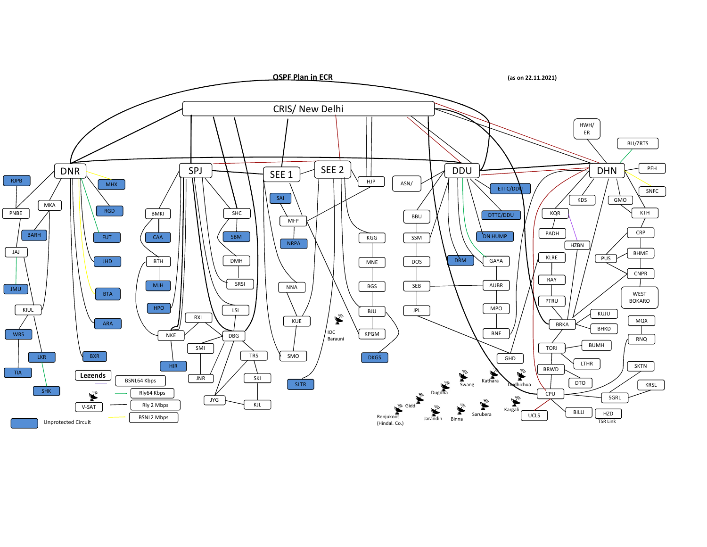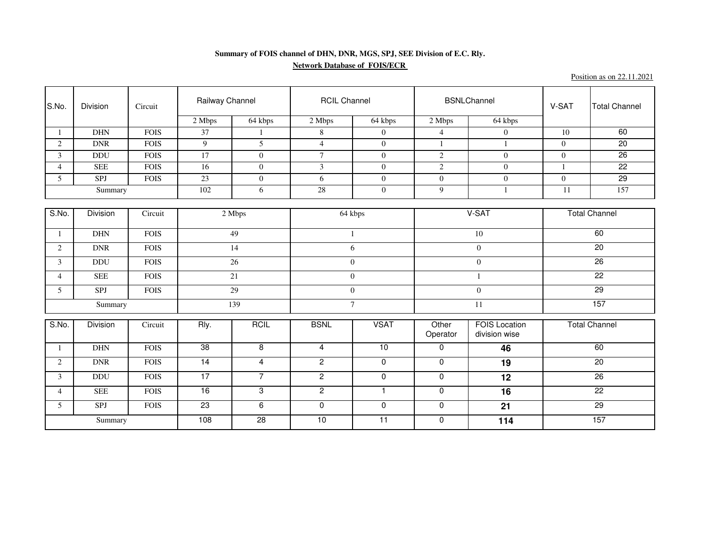## **Summary of FOIS channel of DHN, DNR, MGS, SPJ, SEE Division of E.C. Rly.Network Database of FOIS/ECR**

Position as on 22.11.2021

| S.No.          | Division        | Circuit     | Railway Channel      |                | <b>RCIL Channel</b> |                 |                   | <b>BSNLChannel</b>                    | V-SAT                | <b>Total Channel</b> |
|----------------|-----------------|-------------|----------------------|----------------|---------------------|-----------------|-------------------|---------------------------------------|----------------------|----------------------|
|                |                 |             | 2 Mbps               | 64 kbps        | 2 Mbps              | 64 kbps         | 2 Mbps            | 64 kbps                               |                      |                      |
|                | <b>DHN</b>      | <b>FOIS</b> | 37                   | $\mathbf{1}$   | 8                   | $\mathbf{0}$    | $\overline{4}$    | $\overline{0}$                        | 10                   | 60                   |
| $\overline{2}$ | <b>DNR</b>      | <b>FOIS</b> | 9                    | 5              | $\overline{4}$      | $\Omega$        | 1                 | 1                                     | $\theta$             | 20                   |
| 3              | <b>DDU</b>      | <b>FOIS</b> | 17                   | $\mathbf{0}$   | $\tau$              | $\overline{0}$  | $\sqrt{2}$        | $\mathbf{0}$                          | $\mathbf{0}$         | 26                   |
| $\overline{4}$ | <b>SEE</b>      | <b>FOIS</b> | $\overline{16}$      | $\mathbf{0}$   | $\overline{3}$      | $\theta$        | $\sqrt{2}$        | $\overline{0}$                        | $\mathbf{1}$         | $\overline{22}$      |
| 5 <sup>5</sup> | SPJ             | <b>FOIS</b> | 23                   | $\mathbf{0}$   | 6                   | $\overline{0}$  | $\overline{0}$    | $\boldsymbol{0}$                      | $\mathbf{0}$         | 29                   |
|                | Summary         |             | 102                  | 6              | 28                  | $\overline{0}$  | 9                 | 1                                     | 11                   | 157                  |
|                |                 |             |                      |                |                     |                 |                   |                                       |                      |                      |
| S.No.          | <b>Division</b> | Circuit     | 2 Mbps               |                | 64 kbps             |                 | V-SAT             |                                       | <b>Total Channel</b> |                      |
| $\mathbf{1}$   | $\rm{DHN}$      | <b>FOIS</b> | 49                   |                | 1                   |                 | 10                |                                       | 60                   |                      |
| $\overline{2}$ | <b>DNR</b>      | <b>FOIS</b> | 14                   |                | 6                   |                 | $\mathbf{0}$      |                                       | 20                   |                      |
| 3              | <b>DDU</b>      | <b>FOIS</b> | 26                   |                | $\overline{0}$      |                 |                   | $\overline{0}$                        |                      | $\overline{26}$      |
| $\overline{4}$ | <b>SEE</b>      | <b>FOIS</b> | 21                   |                | $\overline{0}$      |                 |                   |                                       |                      | $\overline{22}$      |
| 5 <sup>5</sup> | SPJ             | <b>FOIS</b> | 29                   |                | $\Omega$            |                 | $\Omega$          |                                       | 29                   |                      |
| Summary        |                 | 139         |                      | $\tau$         |                     |                 | 11                | 157                                   |                      |                      |
| S.No.          | Division        | Circuit     | Rly.<br><b>RCIL</b>  |                | <b>BSNL</b>         | <b>VSAT</b>     | Other<br>Operator | <b>FOIS Location</b><br>division wise |                      | <b>Total Channel</b> |
|                | <b>DHN</b>      | <b>FOIS</b> | 38<br>$\overline{8}$ |                | $\overline{4}$      | 10              | $\mathbf 0$       | 46                                    |                      | 60                   |
| $\overline{2}$ | <b>DNR</b>      | <b>FOIS</b> | 14<br>$\overline{4}$ |                | $\overline{2}$      | $\mathbf 0$     | $\mathbf 0$       | 19                                    |                      | 20                   |
| 3              | <b>DDU</b>      | <b>FOIS</b> | 17                   | $\overline{7}$ | $\overline{2}$      | $\mathbf 0$     | $\mathbf 0$       | 12                                    |                      | 26                   |
| $\overline{4}$ | <b>SEE</b>      | <b>FOIS</b> | $\overline{16}$      | 3              | $\mathbf{2}$        | $\mathbf{1}$    | $\mathbf 0$       | 16                                    |                      | $\overline{22}$      |
| 5 <sup>5</sup> | SPJ             | <b>FOIS</b> | 23                   | $\overline{6}$ | $\overline{0}$      | $\mathbf 0$     | $\overline{0}$    | $\overline{21}$                       |                      | 29                   |
| Summary        |                 |             | 108                  | 28             | 10                  | $\overline{11}$ | $\mathbf 0$       | 114                                   |                      | 157                  |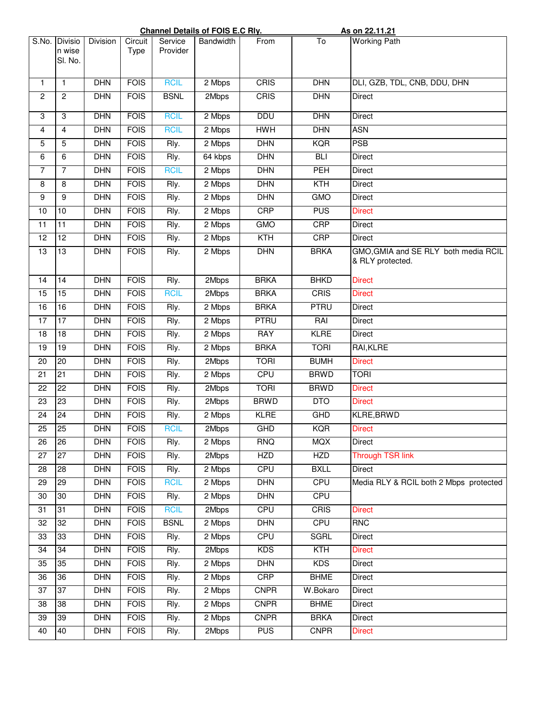|                 |                              | <b>Channel Details of FOIS E.C RIV.</b> |                 |                     |           |             |                  | <u>As on 22.11.21</u>                                    |
|-----------------|------------------------------|-----------------------------------------|-----------------|---------------------|-----------|-------------|------------------|----------------------------------------------------------|
| S.No.           | Divisio<br>n wise<br>SI. No. | <b>Division</b>                         | Circuit<br>Type | Service<br>Provider | Bandwidth | From        | To               | <b>Working Path</b>                                      |
| 1               | $\mathbf{1}$                 | <b>DHN</b>                              | <b>FOIS</b>     | <b>RCIL</b>         | 2 Mbps    | <b>CRIS</b> | DHN              | DLI, GZB, TDL, CNB, DDU, DHN                             |
| $\overline{2}$  | $\mathbf{2}$                 | <b>DHN</b>                              | <b>FOIS</b>     | <b>BSNL</b>         | 2Mbps     | CRIS        | <b>DHN</b>       | <b>Direct</b>                                            |
| 3               | 3                            | <b>DHN</b>                              | <b>FOIS</b>     | <b>RCIL</b>         | 2 Mbps    | <b>DDU</b>  | <b>DHN</b>       | <b>Direct</b>                                            |
| 4               | 4                            | <b>DHN</b>                              | <b>FOIS</b>     | <b>RCIL</b>         | 2 Mbps    | <b>HWH</b>  | <b>DHN</b>       | <b>ASN</b>                                               |
| 5               | 5                            | <b>DHN</b>                              | <b>FOIS</b>     | Rly.                | 2 Mbps    | <b>DHN</b>  | <b>KQR</b>       | <b>PSB</b>                                               |
| 6               | 6                            | <b>DHN</b>                              | <b>FOIS</b>     | Rly.                | 64 kbps   | <b>DHN</b>  | <b>BLI</b>       | Direct                                                   |
| $\overline{7}$  | $\overline{7}$               | <b>DHN</b>                              | <b>FOIS</b>     | <b>RCIL</b>         | 2 Mbps    | <b>DHN</b>  | PEH              | Direct                                                   |
| 8               | 8                            | <b>DHN</b>                              | <b>FOIS</b>     | Rly.                | 2 Mbps    | <b>DHN</b>  | $\overline{KTH}$ | Direct                                                   |
| 9               | 9                            | <b>DHN</b>                              | <b>FOIS</b>     | Rly.                | 2 Mbps    | DHN         | <b>GMO</b>       | Direct                                                   |
| 10              | 10                           | <b>DHN</b>                              | <b>FOIS</b>     | Rly.                | 2 Mbps    | <b>CRP</b>  | <b>PUS</b>       | <b>Direct</b>                                            |
| $\overline{11}$ | 11                           | <b>DHN</b>                              | <b>FOIS</b>     | Rly.                | 2 Mbps    | <b>GMO</b>  | <b>CRP</b>       | <b>Direct</b>                                            |
| 12              | 12                           | <b>DHN</b>                              | <b>FOIS</b>     | Rly.                | 2 Mbps    | <b>KTH</b>  | <b>CRP</b>       | Direct                                                   |
| $\overline{13}$ | $\overline{13}$              | <b>DHN</b>                              | <b>FOIS</b>     | Rly.                | 2 Mbps    | <b>DHN</b>  | <b>BRKA</b>      | GMO, GMIA and SE RLY both media RCIL<br>& RLY protected. |
| 14              | 14                           | <b>DHN</b>                              | <b>FOIS</b>     | Rly.                | 2Mbps     | <b>BRKA</b> | <b>BHKD</b>      | <b>Direct</b>                                            |
| $\overline{15}$ | $\overline{15}$              | <b>DHN</b>                              | <b>FOIS</b>     | <b>RCIL</b>         | 2Mbps     | <b>BRKA</b> | CRIS             | <b>Direct</b>                                            |
| 16              | 16                           | <b>DHN</b>                              | <b>FOIS</b>     | Rly.                | 2 Mbps    | <b>BRKA</b> | <b>PTRU</b>      | Direct                                                   |
| 17              | $\overline{17}$              | <b>DHN</b>                              | <b>FOIS</b>     | Rly.                | 2 Mbps    | <b>PTRU</b> | RAI              | <b>Direct</b>                                            |
| 18              | 18                           | <b>DHN</b>                              | <b>FOIS</b>     | Rly.                | 2 Mbps    | <b>RAY</b>  | <b>KLRE</b>      | Direct                                                   |
| 19              | 19                           | <b>DHN</b>                              | <b>FOIS</b>     | Rly.                | 2 Mbps    | <b>BRKA</b> | <b>TORI</b>      | RAI, KLRE                                                |
| 20              | 20                           | <b>DHN</b>                              | <b>FOIS</b>     | Rly.                | 2Mbps     | <b>TORI</b> | <b>BUMH</b>      | <b>Direct</b>                                            |
| 21              | $\overline{21}$              | <b>DHN</b>                              | <b>FOIS</b>     | Rly.                | 2 Mbps    | <b>CPU</b>  | <b>BRWD</b>      | <b>TORI</b>                                              |
| 22              | 22                           | <b>DHN</b>                              | <b>FOIS</b>     | Rly.                | 2Mbps     | <b>TORI</b> | <b>BRWD</b>      | <b>Direct</b>                                            |
| $\overline{23}$ | 23                           | <b>DHN</b>                              | <b>FOIS</b>     | Rly.                | 2Mbps     | <b>BRWD</b> | <b>DTO</b>       | <b>Direct</b>                                            |
| $\overline{24}$ | 24                           | <b>DHN</b>                              | <b>FOIS</b>     | Rly.                | 2 Mbps    | <b>KLRE</b> | <b>GHD</b>       | <b>KLRE, BRWD</b>                                        |
| $\overline{25}$ | 25                           | DHN                                     | <b>FOIS</b>     | <b>RCIL</b>         | 2Mbps     | <b>GHD</b>  | KQR              | <b>Direct</b>                                            |
| 26              | 26                           | <b>DHN</b>                              | <b>FOIS</b>     | Rly.                | 2 Mbps    | <b>RNQ</b>  | <b>MQX</b>       | Direct                                                   |
| $\overline{27}$ | 27                           | <b>DHN</b>                              | <b>FOIS</b>     | Rly.                | 2Mbps     | <b>HZD</b>  | <b>HZD</b>       | <b>Through TSR link</b>                                  |
| 28              | 28                           | <b>DHN</b>                              | <b>FOIS</b>     | Rly.                | 2 Mbps    | <b>CPU</b>  | <b>BXLL</b>      | Direct                                                   |
| 29              | 29                           | <b>DHN</b>                              | <b>FOIS</b>     | <b>RCIL</b>         | 2 Mbps    | <b>DHN</b>  | <b>CPU</b>       | Media RLY & RCIL both 2 Mbps protected                   |
| 30              | 30                           | <b>DHN</b>                              | <b>FOIS</b>     | Rly.                | 2 Mbps    | <b>DHN</b>  | <b>CPU</b>       |                                                          |
| 31              | 31                           | <b>DHN</b>                              | <b>FOIS</b>     | <b>RCIL</b>         | 2Mbps     | <b>CPU</b>  | <b>CRIS</b>      | <b>Direct</b>                                            |
| 32              | 32                           | <b>DHN</b>                              | <b>FOIS</b>     | <b>BSNL</b>         | 2 Mbps    | <b>DHN</b>  | <b>CPU</b>       | <b>RNC</b>                                               |
| 33              | 33                           | <b>DHN</b>                              | <b>FOIS</b>     | Rly.                | 2 Mbps    | <b>CPU</b>  | <b>SGRL</b>      | Direct                                                   |
| 34              | 34                           | <b>DHN</b>                              | <b>FOIS</b>     | Rly.                | 2Mbps     | <b>KDS</b>  | <b>KTH</b>       | <b>Direct</b>                                            |
| 35              | 35                           | <b>DHN</b>                              | <b>FOIS</b>     | Rly.                | 2 Mbps    | <b>DHN</b>  | <b>KDS</b>       | Direct                                                   |
| 36              | 36                           | <b>DHN</b>                              | <b>FOIS</b>     | Rly.                | 2 Mbps    | <b>CRP</b>  | <b>BHME</b>      | Direct                                                   |
| 37              | $\overline{37}$              | <b>DHN</b>                              | <b>FOIS</b>     | Rly.                | 2 Mbps    | <b>CNPR</b> | W.Bokaro         | Direct                                                   |
| 38              | 38                           | <b>DHN</b>                              | <b>FOIS</b>     | Rly.                | 2 Mbps    | <b>CNPR</b> | <b>BHME</b>      | Direct                                                   |
| 39              | 39                           | <b>DHN</b>                              | <b>FOIS</b>     | Rly.                | 2 Mbps    | <b>CNPR</b> | <b>BRKA</b>      | Direct                                                   |
| 40              | 40                           | <b>DHN</b>                              | <b>FOIS</b>     | Rly.                | 2Mbps     | <b>PUS</b>  | <b>CNPR</b>      | <b>Direct</b>                                            |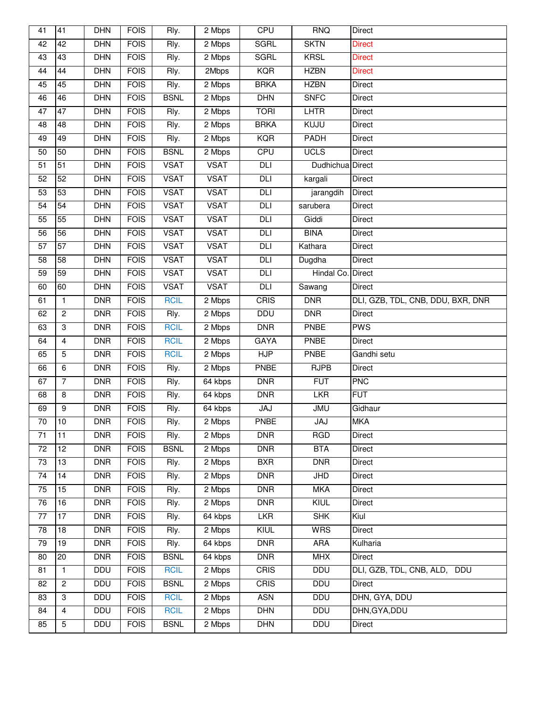| 41              | $\overline{41}$  | <b>DHN</b> | <b>FOIS</b> | Rly.        | 2 Mbps      | <b>CPU</b>  | <b>RNQ</b>                | Direct                            |
|-----------------|------------------|------------|-------------|-------------|-------------|-------------|---------------------------|-----------------------------------|
| 42              | 42               | <b>DHN</b> | <b>FOIS</b> | Rly.        | 2 Mbps      | <b>SGRL</b> | <b>SKTN</b>               | <b>Direct</b>                     |
| 43              | 43               | <b>DHN</b> | <b>FOIS</b> | Rly.        | 2 Mbps      | <b>SGRL</b> | <b>KRSL</b>               | <b>Direct</b>                     |
| 44              | 44               | <b>DHN</b> | <b>FOIS</b> | Rly.        | 2Mbps       | <b>KQR</b>  | <b>HZBN</b>               | <b>Direct</b>                     |
| 45              | 45               | <b>DHN</b> | <b>FOIS</b> | Rly.        | 2 Mbps      | <b>BRKA</b> | <b>HZBN</b>               | <b>Direct</b>                     |
| 46              | 46               | <b>DHN</b> | <b>FOIS</b> | <b>BSNL</b> | 2 Mbps      | DHN         | <b>SNFC</b>               | Direct                            |
| 47              | $\overline{47}$  | <b>DHN</b> | <b>FOIS</b> | Rly.        | 2 Mbps      | <b>TORI</b> | <b>LHTR</b>               | Direct                            |
| 48              | 48               | <b>DHN</b> | <b>FOIS</b> | Rly.        | 2 Mbps      | <b>BRKA</b> | KUJU                      | Direct                            |
| 49              | 49               | <b>DHN</b> | <b>FOIS</b> | Rly.        | 2 Mbps      | <b>KQR</b>  | PADH                      | Direct                            |
| 50              | 50               | DHN        | <b>FOIS</b> | <b>BSNL</b> | 2 Mbps      | CPU         | <b>UCLS</b>               | <b>Direct</b>                     |
| $\overline{51}$ | $\overline{51}$  | <b>DHN</b> | <b>FOIS</b> | <b>VSAT</b> | <b>VSAT</b> | DLI         | Dudhichua Direct          |                                   |
| 52              | 52               | <b>DHN</b> | <b>FOIS</b> | <b>VSAT</b> | <b>VSAT</b> | DLI         | kargali                   | <b>Direct</b>                     |
| 53              | 53               | <b>DHN</b> | <b>FOIS</b> | <b>VSAT</b> | <b>VSAT</b> | DLI         | jarangdih                 | Direct                            |
| 54              | $\overline{54}$  | <b>DHN</b> | <b>FOIS</b> | <b>VSAT</b> | <b>VSAT</b> | DLI         | sarubera                  | <b>Direct</b>                     |
| 55              | 55               | <b>DHN</b> | <b>FOIS</b> | <b>VSAT</b> | <b>VSAT</b> | <b>DLI</b>  | Giddi                     | Direct                            |
| 56              | 56               | <b>DHN</b> | <b>FOIS</b> | <b>VSAT</b> | <b>VSAT</b> | DLI         | <b>BINA</b>               | Direct                            |
| $\overline{57}$ | 57               | DHN        | <b>FOIS</b> | <b>VSAT</b> | <b>VSAT</b> | DLI         | Kathara                   | Direct                            |
| 58              | 58               | <b>DHN</b> | <b>FOIS</b> | <b>VSAT</b> | <b>VSAT</b> | DLI         | Dugdha                    | Direct                            |
| 59              | 59               | <b>DHN</b> | <b>FOIS</b> | <b>VSAT</b> | <b>VSAT</b> | <b>DLI</b>  | Hindal Co. Direct         |                                   |
| 60              | 60               | DHN        | <b>FOIS</b> | <b>VSAT</b> | <b>VSAT</b> | DLI         | Sawang                    | <b>Direct</b>                     |
| 61              | $\mathbf{1}$     | <b>DNR</b> | <b>FOIS</b> | <b>RCIL</b> | 2 Mbps      | CRIS        | <b>DNR</b>                | DLI, GZB, TDL, CNB, DDU, BXR, DNR |
| 62              | $\overline{2}$   | <b>DNR</b> | <b>FOIS</b> | Rly.        | 2 Mbps      | <b>DDU</b>  | <b>DNR</b>                | <b>Direct</b>                     |
| 63              | 3                | <b>DNR</b> | <b>FOIS</b> | <b>RCIL</b> | 2 Mbps      | <b>DNR</b>  | <b>PNBE</b>               | <b>PWS</b>                        |
| 64              | 4                | <b>DNR</b> | <b>FOIS</b> | <b>RCIL</b> | 2 Mbps      | <b>GAYA</b> | PNBE                      | Direct                            |
| 65              | 5                | <b>DNR</b> | <b>FOIS</b> | <b>RCIL</b> | 2 Mbps      | HJP         | PNBE                      | Gandhi setu                       |
| 66              | 6                | <b>DNR</b> | <b>FOIS</b> | Rly.        | 2 Mbps      | PNBE        | <b>RJPB</b>               | Direct                            |
| 67              | $\overline{7}$   | <b>DNR</b> | <b>FOIS</b> | Rly.        | 64 kbps     | DNR         | <b>FUT</b>                | <b>PNC</b>                        |
| 68              | 8                | <b>DNR</b> | <b>FOIS</b> | Rly.        | 64 kbps     | <b>DNR</b>  | <b>LKR</b>                | <b>FUT</b>                        |
| 69              | $\boldsymbol{9}$ | <b>DNR</b> | <b>FOIS</b> | Rly.        | 64 kbps     | <b>JAJ</b>  | <b>JMU</b>                | Gidhaur                           |
| $\overline{70}$ | 10               | <b>DNR</b> | <b>FOIS</b> | Rly.        | 2 Mbps      | PNBE        | <b>JAJ</b>                | <b>MKA</b>                        |
| 71              | 11               | <b>DNR</b> | <b>FOIS</b> | Rly.        | 2 Mbps      | <b>DNR</b>  | <b>RGD</b>                | Direct                            |
| 72              | $\overline{12}$  | <b>DNR</b> | <b>FOIS</b> | <b>BSNL</b> | 2 Mbps      | <b>DNR</b>  | <b>BTA</b>                | Direct                            |
| 73              | 13               | <b>DNR</b> | <b>FOIS</b> | Rly.        | 2 Mbps      | <b>BXR</b>  | <b>DNR</b>                | Direct                            |
| $\overline{74}$ | 14               | <b>DNR</b> | <b>FOIS</b> | Rly.        | 2 Mbps      | DNR         | $\overline{\mathsf{JHD}}$ | Direct                            |
| 75              | 15               | <b>DNR</b> | <b>FOIS</b> | Rly.        | 2 Mbps      | <b>DNR</b>  | <b>MKA</b>                | Direct                            |
| 76              | $\overline{16}$  | <b>DNR</b> | <b>FOIS</b> | Rly.        | 2 Mbps      | <b>DNR</b>  | KIUL                      | Direct                            |
| 77              | $\overline{17}$  | <b>DNR</b> | <b>FOIS</b> | Rly.        | 64 kbps     | <b>LKR</b>  | <b>SHK</b>                | Kiul                              |
| 78              | 18               | <b>DNR</b> | <b>FOIS</b> | Rly.        | 2 Mbps      | KIUL        | <b>WRS</b>                | Direct                            |
| 79              | $\overline{19}$  | <b>DNR</b> | <b>FOIS</b> | Rly.        | 64 kbps     | <b>DNR</b>  | <b>ARA</b>                | Kulharia                          |
| 80              | 20               | <b>DNR</b> | <b>FOIS</b> | <b>BSNL</b> | 64 kbps     | <b>DNR</b>  | <b>MHX</b>                | Direct                            |
| 81              | $\mathbf{1}$     | DDU        | <b>FOIS</b> | <b>RCIL</b> | 2 Mbps      | CRIS        | <b>DDU</b>                | DLI, GZB, TDL, CNB, ALD, DDU      |
| 82              | $\overline{2}$   | <b>DDU</b> | <b>FOIS</b> | <b>BSNL</b> | 2 Mbps      | CRIS        | <b>DDU</b>                | <b>Direct</b>                     |
| 83              | 3                | <b>DDU</b> | <b>FOIS</b> | <b>RCIL</b> | 2 Mbps      | <b>ASN</b>  | <b>DDU</b>                | DHN, GYA, DDU                     |
| 84              | 4                | DDU        | <b>FOIS</b> | <b>RCIL</b> | 2 Mbps      | <b>DHN</b>  | DDU                       | DHN, GYA, DDU                     |
| 85              | $\overline{5}$   | <b>DDU</b> | <b>FOIS</b> | <b>BSNL</b> | 2 Mbps      | <b>DHN</b>  | <b>DDU</b>                | <b>Direct</b>                     |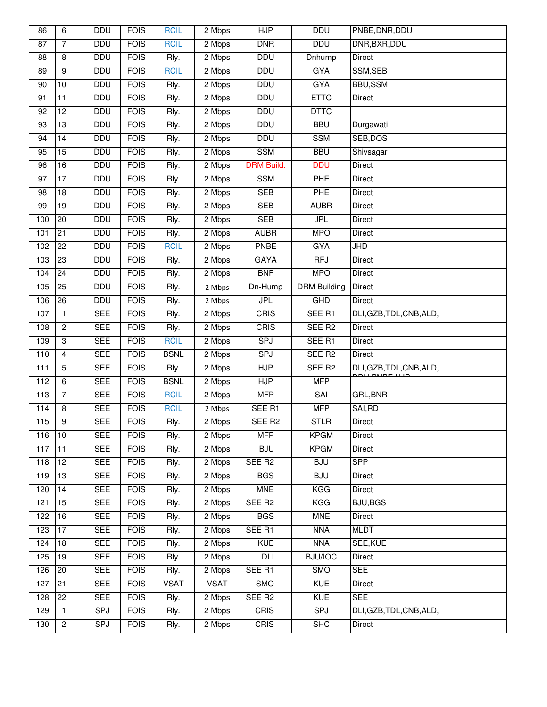| 86    | 6                | <b>DDU</b> | <b>FOIS</b> | <b>RCIL</b> | 2 Mbps      | <b>HJP</b>         | <b>DDU</b>          | PNBE, DNR, DDU                                   |
|-------|------------------|------------|-------------|-------------|-------------|--------------------|---------------------|--------------------------------------------------|
| 87    | $\overline{7}$   | <b>DDU</b> | <b>FOIS</b> | <b>RCIL</b> | 2 Mbps      | <b>DNR</b>         | <b>DDU</b>          | DNR, BXR, DDU                                    |
| 88    | 8                | <b>DDU</b> | <b>FOIS</b> | Rly.        | 2 Mbps      | <b>DDU</b>         | Dnhump              | Direct                                           |
| 89    | $\boldsymbol{9}$ | <b>DDU</b> | <b>FOIS</b> | <b>RCIL</b> | 2 Mbps      | <b>DDU</b>         | <b>GYA</b>          | SSM, SEB                                         |
| 90    | $\overline{10}$  | <b>DDU</b> | <b>FOIS</b> | Rly.        | 2 Mbps      | <b>DDU</b>         | <b>GYA</b>          | <b>BBU,SSM</b>                                   |
| 91    | 11               | DDU        | <b>FOIS</b> | Rly.        | 2 Mbps      | <b>DDU</b>         | <b>ETTC</b>         | Direct                                           |
| 92    | $\overline{12}$  | <b>DDU</b> | <b>FOIS</b> | Rly.        | 2 Mbps      | <b>DDU</b>         | <b>DTTC</b>         |                                                  |
| 93    | $\overline{13}$  | <b>DDU</b> | <b>FOIS</b> | Rly.        | 2 Mbps      | <b>DDU</b>         | <b>BBU</b>          | Durgawati                                        |
| 94    | 14               | <b>DDU</b> | <b>FOIS</b> | Rly.        | 2 Mbps      | <b>DDU</b>         | <b>SSM</b>          | SEB, DOS                                         |
| 95    | 15               | <b>DDU</b> | <b>FOIS</b> | Rly.        | 2 Mbps      | <b>SSM</b>         | <b>BBU</b>          | Shivsagar                                        |
| 96    | $\overline{16}$  | <b>DDU</b> | <b>FOIS</b> | Rly.        | 2 Mbps      | <b>DRM Build.</b>  | <b>DDU</b>          | Direct                                           |
| 97    | 17               | <b>DDU</b> | <b>FOIS</b> | Rly.        | 2 Mbps      | <b>SSM</b>         | PHE                 | Direct                                           |
| 98    | 18               | <b>DDU</b> | <b>FOIS</b> | Rly.        | 2 Mbps      | <b>SEB</b>         | <b>PHE</b>          | Direct                                           |
| 99    | $\overline{19}$  | <b>DDU</b> | <b>FOIS</b> | Rly.        | 2 Mbps      | <b>SEB</b>         | <b>AUBR</b>         | Direct                                           |
| 100   | 20               | <b>DDU</b> | <b>FOIS</b> | Rly.        | 2 Mbps      | <b>SEB</b>         | <b>JPL</b>          | Direct                                           |
| 101   | 21               | <b>DDU</b> | <b>FOIS</b> | Rly.        | 2 Mbps      | <b>AUBR</b>        | <b>MPO</b>          | Direct                                           |
| 102   | $\overline{22}$  | <b>DDU</b> | <b>FOIS</b> | <b>RCIL</b> | 2 Mbps      | <b>PNBE</b>        | <b>GYA</b>          | $\overline{\mathsf{JHD}}$                        |
| 103   | 23               | <b>DDU</b> | <b>FOIS</b> | Rly.        | 2 Mbps      | <b>GAYA</b>        | <b>RFJ</b>          | Direct                                           |
| 104   | 24               | <b>DDU</b> | <b>FOIS</b> | Rly.        | 2 Mbps      | BNF                | <b>MPO</b>          | Direct                                           |
| 105   | 25               | <b>DDU</b> | <b>FOIS</b> | Rly.        | 2 Mbps      | Dn-Hump            | <b>DRM Building</b> | Direct                                           |
| 106   | 26               | DDU        | <b>FOIS</b> | Rly.        | 2 Mbps      | <b>JPL</b>         | <b>GHD</b>          | Direct                                           |
| 107   | $\mathbf{1}$     | <b>SEE</b> | <b>FOIS</b> | Rly.        | 2 Mbps      | CRIS               | SEE R1              | DLI, GZB, TDL, CNB, ALD,                         |
| 108   | $\overline{2}$   | <b>SEE</b> | <b>FOIS</b> | Rly.        | 2 Mbps      | CRIS               | SEE R <sub>2</sub>  | <b>Direct</b>                                    |
| 109   | $\overline{3}$   | <b>SEE</b> | <b>FOIS</b> | <b>RCIL</b> | 2 Mbps      | <b>SPJ</b>         | SEE R1              | Direct                                           |
| 110   | $\overline{4}$   | <b>SEE</b> | <b>FOIS</b> | <b>BSNL</b> | 2 Mbps      | <b>SPJ</b>         | SEE R <sub>2</sub>  | Direct                                           |
| $111$ | $\overline{5}$   | <b>SEE</b> | <b>FOIS</b> | Rly.        | 2 Mbps      | HJP                | SEE R <sub>2</sub>  | DLI, GZB, TDL, CNB, ALD,<br><b>DOU DUDE U ID</b> |
| 112   | 6                | <b>SEE</b> | <b>FOIS</b> | <b>BSNL</b> | 2 Mbps      | HJP                | <b>MFP</b>          |                                                  |
| 113   | $\overline{7}$   | <b>SEE</b> | <b>FOIS</b> | <b>RCIL</b> | 2 Mbps      | <b>MFP</b>         | SAI                 | GRL, BNR                                         |
| 114   | 8                | <b>SEE</b> | <b>FOIS</b> | <b>RCIL</b> | 2 Mbps      | SEE R1             | <b>MFP</b>          | SAI,RD                                           |
| 115   | $\overline{9}$   | <b>SEE</b> | <b>FOIS</b> | Rly.        | 2 Mbps      | SEE R <sub>2</sub> | <b>STLR</b>         | <b>Direct</b>                                    |
| 116   | 10               | <b>SEE</b> | <b>FOIS</b> | Rly.        | 2 Mbps      | <b>MFP</b>         | <b>KPGM</b>         | Direct                                           |
| 117   | 11               | <b>SEE</b> | <b>FOIS</b> | Rly.        | 2 Mbps      | <b>BJU</b>         | <b>KPGM</b>         | Direct                                           |
| 118   | 12               | <b>SEE</b> | <b>FOIS</b> | Rly.        | 2 Mbps      | SEE R <sub>2</sub> | <b>BJU</b>          | <b>SPP</b>                                       |
| 119   | $\overline{13}$  | <b>SEE</b> | <b>FOIS</b> | Rly.        | 2 Mbps      | <b>BGS</b>         | BJD                 | Direct                                           |
| 120   | 14               | <b>SEE</b> | <b>FOIS</b> | Rly.        | 2 Mbps      | <b>MNE</b>         | <b>KGG</b>          | Direct                                           |
| 121   | $\overline{15}$  | <b>SEE</b> | <b>FOIS</b> | Rly.        | 2 Mbps      | SEE R <sub>2</sub> | KGG                 | <b>BJU, BGS</b>                                  |
| 122   | 16               | <b>SEE</b> | <b>FOIS</b> | Rly.        | 2 Mbps      | <b>BGS</b>         | <b>MNE</b>          | Direct                                           |
| 123   | 17               | <b>SEE</b> | <b>FOIS</b> | Rly.        | 2 Mbps      | SEE R1             | <b>NNA</b>          | <b>MLDT</b>                                      |
| 124   | $\overline{18}$  | <b>SEE</b> | <b>FOIS</b> | Rly.        | 2 Mbps      | <b>KUE</b>         | <b>NNA</b>          | SEE, KUE                                         |
| 125   | 19               | <b>SEE</b> | <b>FOIS</b> | Rly.        | 2 Mbps      | DLI                | <b>BJU/IOC</b>      | Direct                                           |
| 126   | 20               | <b>SEE</b> | <b>FOIS</b> | Rly.        | 2 Mbps      | SEE R1             | <b>SMO</b>          | <b>SEE</b>                                       |
| 127   | 21               | <b>SEE</b> | <b>FOIS</b> | <b>VSAT</b> | <b>VSAT</b> | SMO                | <b>KUE</b>          | Direct                                           |
| 128   | 22               | <b>SEE</b> | <b>FOIS</b> | Rly.        | 2 Mbps      | SEE R <sub>2</sub> | KUE                 | <b>SEE</b>                                       |
| 129   | $\mathbf{1}$     | SPJ        | <b>FOIS</b> | Rly.        | 2 Mbps      | <b>CRIS</b>        | <b>SPJ</b>          | DLI, GZB, TDL, CNB, ALD,                         |
| 130   | $\overline{2}$   | <b>SPJ</b> | <b>FOIS</b> | Rly.        | 2 Mbps      | <b>CRIS</b>        | <b>SHC</b>          | Direct                                           |